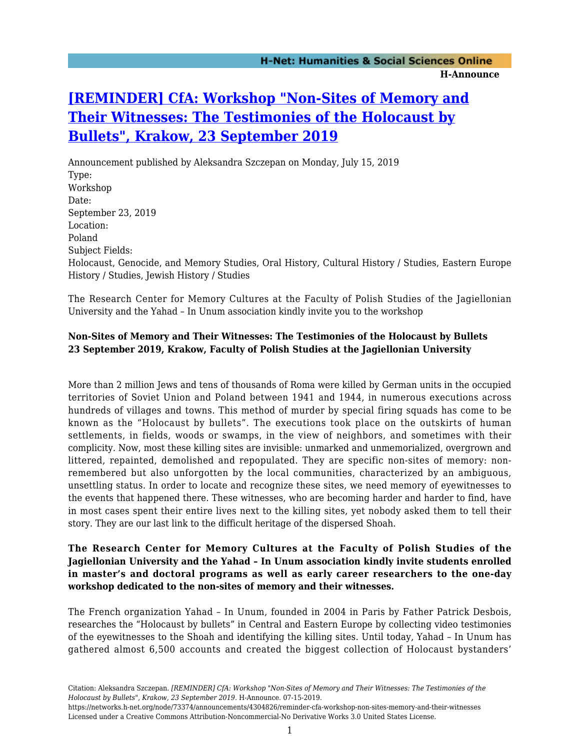## **[\[REMINDER\] CfA: Workshop "Non-Sites of Memory and](https://networks.h-net.org/node/73374/announcements/4304826/reminder-cfa-workshop-non-sites-memory-and-their-witnesses) [Their Witnesses: The Testimonies of the Holocaust by](https://networks.h-net.org/node/73374/announcements/4304826/reminder-cfa-workshop-non-sites-memory-and-their-witnesses) [Bullets", Krakow, 23 September 2019](https://networks.h-net.org/node/73374/announcements/4304826/reminder-cfa-workshop-non-sites-memory-and-their-witnesses)**

Announcement published by Aleksandra Szczepan on Monday, July 15, 2019 Type: Workshop Date: September 23, 2019 Location: Poland Subject Fields: Holocaust, Genocide, and Memory Studies, Oral History, Cultural History / Studies, Eastern Europe History / Studies, Jewish History / Studies

The Research Center for Memory Cultures at the Faculty of Polish Studies of the Jagiellonian University and the Yahad – In Unum association kindly invite you to the workshop

## **Non-Sites of Memory and Their Witnesses: The Testimonies of the Holocaust by Bullets 23 September 2019, Krakow, Faculty of Polish Studies at the Jagiellonian University**

More than 2 million Jews and tens of thousands of Roma were killed by German units in the occupied territories of Soviet Union and Poland between 1941 and 1944, in numerous executions across hundreds of villages and towns. This method of murder by special firing squads has come to be known as the "Holocaust by bullets". The executions took place on the outskirts of human settlements, in fields, woods or swamps, in the view of neighbors, and sometimes with their complicity. Now, most these killing sites are invisible: unmarked and unmemorialized, overgrown and littered, repainted, demolished and repopulated. They are specific non-sites of memory: nonremembered but also unforgotten by the local communities, characterized by an ambiguous, unsettling status. In order to locate and recognize these sites, we need memory of eyewitnesses to the events that happened there. These witnesses, who are becoming harder and harder to find, have in most cases spent their entire lives next to the killing sites, yet nobody asked them to tell their story. They are our last link to the difficult heritage of the dispersed Shoah.

## **The Research Center for Memory Cultures at the Faculty of Polish Studies of the Jagiellonian University and the Yahad – In Unum association kindly invite students enrolled in master's and doctoral programs as well as early career researchers to the one-day workshop dedicated to the non-sites of memory and their witnesses.**

The French organization Yahad – In Unum, founded in 2004 in Paris by Father Patrick Desbois, researches the "Holocaust by bullets" in Central and Eastern Europe by collecting video testimonies of the eyewitnesses to the Shoah and identifying the killing sites. Until today, Yahad – In Unum has gathered almost 6,500 accounts and created the biggest collection of Holocaust bystanders'

Citation: Aleksandra Szczepan. *[REMINDER] CfA: Workshop "Non-Sites of Memory and Their Witnesses: The Testimonies of the Holocaust by Bullets", Krakow, 23 September 2019*. H-Announce. 07-15-2019.

https://networks.h-net.org/node/73374/announcements/4304826/reminder-cfa-workshop-non-sites-memory-and-their-witnesses Licensed under a Creative Commons Attribution-Noncommercial-No Derivative Works 3.0 United States License.